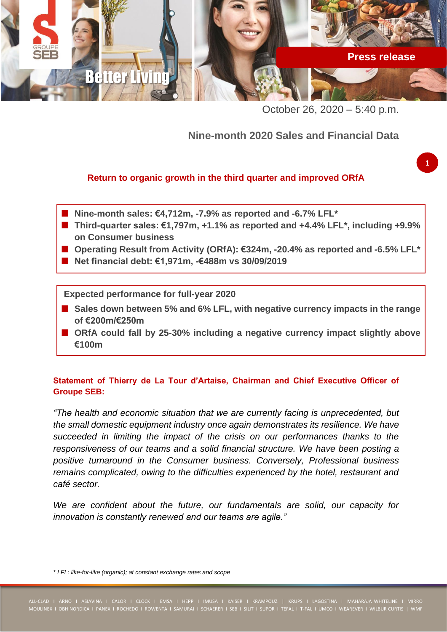

October 26, 2020 – 5:40 p.m.

# **Nine-month 2020 Sales and Financial Data**

## **Return to organic growth in the third quarter and improved ORfA**

- **Nine-month sales: €4,712m, -7.9% as reported and -6.7% LFL\***
- **Third-quarter sales: €1,797m, +1.1% as reported and +4.4% LFL\*, including +9.9% on Consumer business**
- **Operating Result from Activity (ORfA): €324m, -20.4% as reported and -6.5% LFL\***
- **Net financial debt: €1,971m, -€488m vs 30/09/2019**

**Expected performance for full-year 2020**

- Sales down between 5% and 6% LFL, with negative currency impacts in the range **of €200m/€250m**
- ORfA could fall by 25-30% including a negative currency impact slightly above **€100m**

## **Statement of Thierry de La Tour d'Artaise, Chairman and Chief Executive Officer of Groupe SEB:**

*"The health and economic situation that we are currently facing is unprecedented, but the small domestic equipment industry once again demonstrates its resilience. We have succeeded in limiting the impact of the crisis on our performances thanks to the responsiveness of our teams and a solid financial structure. We have been posting a positive turnaround in the Consumer business. Conversely, Professional business remains complicated, owing to the difficulties experienced by the hotel, restaurant and café sector.*

We are confident about the future, our fundamentals are solid, our capacity for *innovation is constantly renewed and our teams are agile."*

*\* LFL: like-for-like (organic); at constant exchange rates and scope*

**1**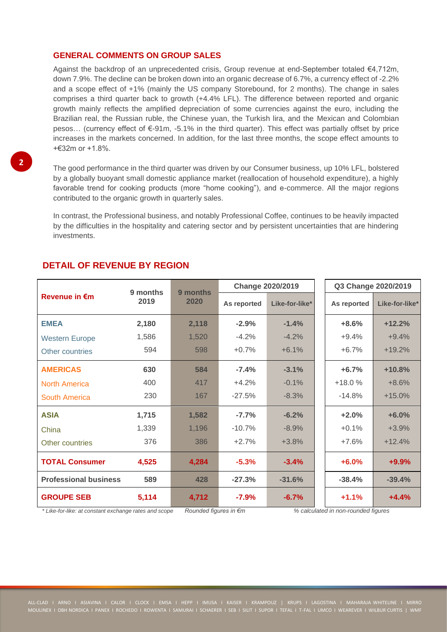### **GENERAL COMMENTS ON GROUP SALES**

Against the backdrop of an unprecedented crisis, Group revenue at end-September totaled €4,712m, down 7.9%. The decline can be broken down into an organic decrease of 6.7%, a currency effect of -2.2% and a scope effect of +1% (mainly the US company Storebound, for 2 months). The change in sales comprises a third quarter back to growth (+4.4% LFL). The difference between reported and organic growth mainly reflects the amplified depreciation of some currencies against the euro, including the Brazilian real, the Russian ruble, the Chinese yuan, the Turkish lira, and the Mexican and Colombian pesos… (currency effect of €-91m, -5.1% in the third quarter). This effect was partially offset by price increases in the markets concerned. In addition, for the last three months, the scope effect amounts to  $+632m$  or  $+1.8\%$ 

The good performance in the third quarter was driven by our Consumer business, up 10% LFL, bolstered by a globally buoyant small domestic appliance market (reallocation of household expenditure), a highly favorable trend for cooking products (more "home cooking"), and e-commerce. All the major regions contributed to the organic growth in quarterly sales.

In contrast, the Professional business, and notably Professional Coffee, continues to be heavily impacted by the difficulties in the hospitality and catering sector and by persistent uncertainties that are hindering investments.

|                                                                                                                                                                                       | 9 months | 9 months<br>2020                                                             | <b>Change 2020/2019</b> |                | Q3 Change 2020/2019                                     |                |
|---------------------------------------------------------------------------------------------------------------------------------------------------------------------------------------|----------|------------------------------------------------------------------------------|-------------------------|----------------|---------------------------------------------------------|----------------|
| <b>Revenue in €m</b>                                                                                                                                                                  | 2019     |                                                                              | As reported             | Like-for-like* | As reported                                             | Like-for-like* |
| <b>EMEA</b>                                                                                                                                                                           | 2,180    | 2,118                                                                        | $-2.9%$                 | $-1.4%$        | $+8.6%$                                                 | $+12.2%$       |
| <b>Western Europe</b>                                                                                                                                                                 | 1,586    | 1,520                                                                        | $-4.2%$                 | $-4.2%$        | $+9.4%$                                                 | $+9.4%$        |
| Other countries                                                                                                                                                                       | 594      | 598                                                                          | $+0.7%$                 | $+6.1%$        | $+6.7%$                                                 | $+19.2%$       |
| <b>AMERICAS</b>                                                                                                                                                                       | 630      | 584                                                                          | $-7.4%$                 | $-3.1%$        | $+6.7%$                                                 | $+10.8%$       |
| <b>North America</b>                                                                                                                                                                  | 400      | 417                                                                          | $+4.2%$                 | $-0.1%$        | $+18.0%$                                                | $+8.6%$        |
| <b>South America</b>                                                                                                                                                                  | 230      | 167                                                                          | $-27.5%$                | $-8.3%$        | $-14.8%$                                                | $+15.0%$       |
| <b>ASIA</b>                                                                                                                                                                           | 1,715    | 1,582                                                                        | $-7.7%$                 | $-6.2%$        | $+2.0%$                                                 | $+6.0%$        |
| China                                                                                                                                                                                 | 1,339    | 1,196                                                                        | $-10.7%$                | $-8.9%$        | $+0.1%$                                                 | $+3.9%$        |
| Other countries                                                                                                                                                                       | 376      | 386                                                                          | $+2.7%$                 | $+3.8%$        | +7.6%                                                   | $+12.4%$       |
| <b>TOTAL Consumer</b>                                                                                                                                                                 | 4,525    | 4,284                                                                        | $-5.3%$                 | $-3.4%$        | $+6.0%$                                                 | $+9.9%$        |
| <b>Professional business</b>                                                                                                                                                          | 589      | 428                                                                          | $-27.3%$                | $-31.6%$       | $-38.4%$                                                | $-39.4%$       |
| <b>GROUPE SEB</b><br>$\star$ 1.9 $\star$ - $\star$ 19 $\star$ - $\star$ - $\star$ - $\star$ - $\star$ - $\star$ - $\star$ - $\star$ - $\star$ - $\star$ - $\star$ - $\star$ - $\star$ | 5,114    | 4,712<br>$D_{\text{c}}$ and $L_{\text{c}}$ is the contract of $C_{\text{c}}$ | $-7.9%$                 | $-6.7%$        | $+1.1%$<br>04 and auto-to-discuss we use the difference | $+4.4%$        |

## **DETAIL OF REVENUE BY REGION**

*\* Like-for-like: at constant exchange rates and scope Rounded figures in €m % calculated in non-rounded figures*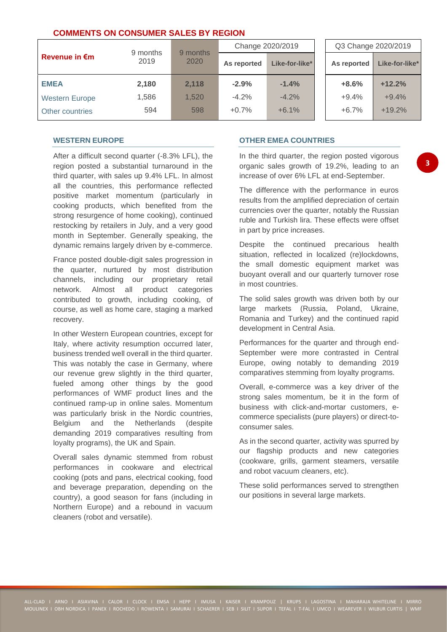### **COMMENTS ON CONSUMER SALES BY REGION**

|                         | 9 months | 9 months | Change 2020/2019 |                | Q3 Change 2020/2019 |                |
|-------------------------|----------|----------|------------------|----------------|---------------------|----------------|
| Revenue in $\epsilon$ m | 2019     | 2020     | As reported      | Like-for-like* | As reported         | Like-for-like* |
| <b>EMEA</b>             | 2,180    | 2.118    | $-2.9%$          | $-1.4%$        | $+8.6%$             | $+12.2%$       |
| <b>Western Europe</b>   | 1.586    | 1.520    | $-4.2%$          | $-4.2%$        | $+9.4%$             | $+9.4%$        |
| Other countries         | 594      | 598      | $+0.7%$          | $+6.1%$        | $+6.7%$             | $+19.2%$       |

#### **WESTERN EUROPE**

After a difficult second quarter (-8.3% LFL), the region posted a substantial turnaround in the third quarter, with sales up 9.4% LFL. In almost all the countries, this performance reflected positive market momentum (particularly in cooking products, which benefited from the strong resurgence of home cooking), continued restocking by retailers in July, and a very good month in September. Generally speaking, the dynamic remains largely driven by e-commerce.

France posted double-digit sales progression in the quarter, nurtured by most distribution channels, including our proprietary retail network. Almost all product categories contributed to growth, including cooking, of course, as well as home care, staging a marked recovery.

In other Western European countries, except for Italy, where activity resumption occurred later, business trended well overall in the third quarter. This was notably the case in Germany, where our revenue grew slightly in the third quarter, fueled among other things by the good performances of WMF product lines and the continued ramp-up in online sales. Momentum was particularly brisk in the Nordic countries, Belgium and the Netherlands (despite demanding 2019 comparatives resulting from loyalty programs), the UK and Spain.

Overall sales dynamic stemmed from robust performances in cookware and electrical cooking (pots and pans, electrical cooking, food and beverage preparation, depending on the country), a good season for fans (including in Northern Europe) and a rebound in vacuum cleaners (robot and versatile).

### **OTHER EMEA COUNTRIES**

In the third quarter, the region posted vigorous organic sales growth of 19.2%, leading to an increase of over 6% LFL at end-September.

**3**

The difference with the performance in euros results from the amplified depreciation of certain currencies over the quarter, notably the Russian ruble and Turkish lira. These effects were offset in part by price increases.

Despite the continued precarious health situation, reflected in localized (re)lockdowns, the small domestic equipment market was buoyant overall and our quarterly turnover rose in most countries.

The solid sales growth was driven both by our large markets (Russia, Poland, Ukraine, Romania and Turkey) and the continued rapid development in Central Asia.

Performances for the quarter and through end-September were more contrasted in Central Europe, owing notably to demanding 2019 comparatives stemming from loyalty programs.

Overall, e-commerce was a key driver of the strong sales momentum, be it in the form of business with click-and-mortar customers, ecommerce specialists (pure players) or direct-toconsumer sales.

As in the second quarter, activity was spurred by our flagship products and new categories (cookware, grills, garment steamers, versatile and robot vacuum cleaners, etc).

These solid performances served to strengthen our positions in several large markets.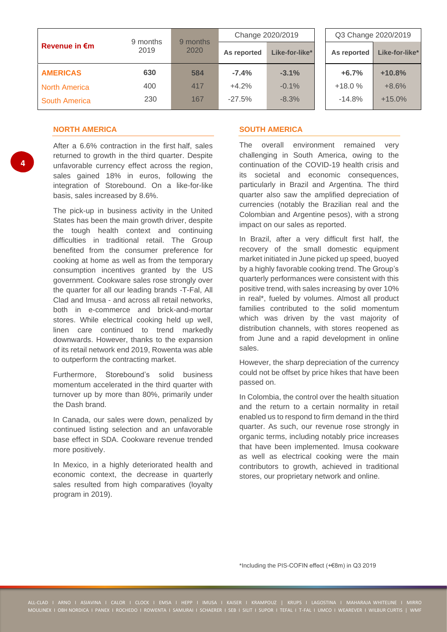|                         |                  | 9 months |             | Change 2020/2019 | Q3 Change 2020/2019 |                            |  |
|-------------------------|------------------|----------|-------------|------------------|---------------------|----------------------------|--|
| Revenue in $\epsilon$ m | 9 months<br>2019 | 2020     | As reported | Like-for-like*   | As reported         | Like-for-like <sup>*</sup> |  |
| <b>AMERICAS</b>         | 630              | 584      | $-7.4%$     | $-3.1%$          | $+6.7%$             | $+10.8%$                   |  |
| <b>North America</b>    | 400              | 417      | $+4.2%$     | $-0.1%$          | $+18.0%$            | $+8.6%$                    |  |
| <b>South America</b>    | 230              | 167      | $-27.5%$    | $-8.3%$          | $-14.8%$            | $+15.0%$                   |  |

### **NORTH AMERICA**

After a 6.6% contraction in the first half, sales returned to growth in the third quarter. Despite unfavorable currency effect across the region, sales gained 18% in euros, following the integration of Storebound. On a like-for-like basis, sales increased by 8.6%.

The pick-up in business activity in the United States has been the main growth driver, despite the tough health context and continuing difficulties in traditional retail. The Group benefited from the consumer preference for cooking at home as well as from the temporary consumption incentives granted by the US government. Cookware sales rose strongly over the quarter for all our leading brands -T-Fal, All Clad and Imusa - and across all retail networks, both in e-commerce and brick-and-mortar stores. While electrical cooking held up well, linen care continued to trend markedly downwards. However, thanks to the expansion of its retail network end 2019, Rowenta was able to outperform the contracting market.

Furthermore, Storebound's solid business momentum accelerated in the third quarter with turnover up by more than 80%, primarily under the Dash brand.

In Canada, our sales were down, penalized by continued listing selection and an unfavorable base effect in SDA. Cookware revenue trended more positively.

In Mexico, in a highly deteriorated health and economic context, the decrease in quarterly sales resulted from high comparatives (loyalty program in 2019).

### **SOUTH AMERICA**

The overall environment remained very challenging in South America, owing to the continuation of the COVID-19 health crisis and its societal and economic consequences, particularly in Brazil and Argentina. The third quarter also saw the amplified depreciation of currencies (notably the Brazilian real and the Colombian and Argentine pesos), with a strong impact on our sales as reported.

In Brazil, after a very difficult first half, the recovery of the small domestic equipment market initiated in June picked up speed, buoyed by a highly favorable cooking trend. The Group's quarterly performances were consistent with this positive trend, with sales increasing by over 10% in real\*, fueled by volumes. Almost all product families contributed to the solid momentum which was driven by the vast majority of distribution channels, with stores reopened as from June and a rapid development in online sales.

However, the sharp depreciation of the currency could not be offset by price hikes that have been passed on.

In Colombia, the control over the health situation and the return to a certain normality in retail enabled us to respond to firm demand in the third quarter. As such, our revenue rose strongly in organic terms, including notably price increases that have been implemented. Imusa cookware as well as electrical cooking were the main contributors to growth, achieved in traditional stores, our proprietary network and online.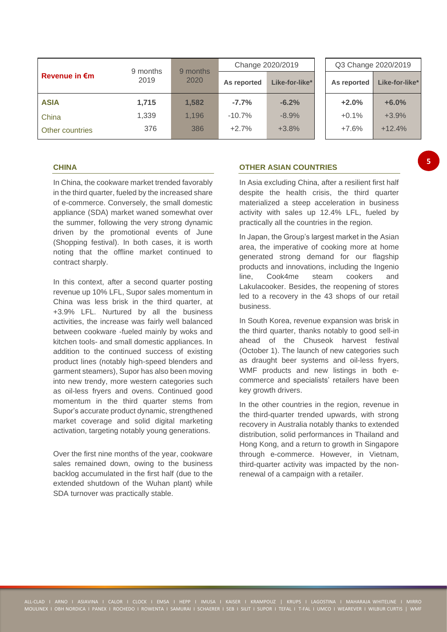| 9 months                |       | 9 months | Change 2020/2019 |                | Q3 Change 2020/2019 |                |  |
|-------------------------|-------|----------|------------------|----------------|---------------------|----------------|--|
| Revenue in $\epsilon$ m | 2019  | 2020     | As reported      | Like-for-like* | As reported         | Like-for-like* |  |
| <b>ASIA</b>             | 1,715 | 1,582    | $-7.7%$          | $-6.2%$        | $+2.0%$             | $+6.0%$        |  |
| China                   | 1,339 | 1,196    | $-10.7%$         | $-8.9%$        | $+0.1%$             | $+3.9%$        |  |
| Other countries         | 376   | 386      | $+2.7%$          | $+3.8%$        | $+7.6%$             | $+12.4%$       |  |

#### **CHINA**

In China, the cookware market trended favorably in the third quarter, fueled by the increased share of e-commerce. Conversely, the small domestic appliance (SDA) market waned somewhat over the summer, following the very strong dynamic driven by the promotional events of June (Shopping festival). In both cases, it is worth noting that the offline market continued to contract sharply.

In this context, after a second quarter posting revenue up 10% LFL, Supor sales momentum in China was less brisk in the third quarter, at +3.9% LFL. Nurtured by all the business activities, the increase was fairly well balanced between cookware -fueled mainly by woks and kitchen tools- and small domestic appliances. In addition to the continued success of existing product lines (notably high-speed blenders and garment steamers), Supor has also been moving into new trendy, more western categories such as oil-less fryers and ovens. Continued good momentum in the third quarter stems from Supor's accurate product dynamic, strengthened market coverage and solid digital marketing activation, targeting notably young generations.

Over the first nine months of the year, cookware sales remained down, owing to the business backlog accumulated in the first half (due to the extended shutdown of the Wuhan plant) while SDA turnover was practically stable.

#### **OTHER ASIAN COUNTRIES**

In Asia excluding China, after a resilient first half despite the health crisis, the third quarter materialized a steep acceleration in business activity with sales up 12.4% LFL, fueled by practically all the countries in the region.

**5**

In Japan, the Group's largest market in the Asian area, the imperative of cooking more at home generated strong demand for our flagship products and innovations, including the Ingenio line, Cook4me steam cookers and Lakulacooker. Besides, the reopening of stores led to a recovery in the 43 shops of our retail business.

In South Korea, revenue expansion was brisk in the third quarter, thanks notably to good sell-in ahead of the Chuseok harvest festival (October 1). The launch of new categories such as draught beer systems and oil-less fryers, WMF products and new listings in both ecommerce and specialists' retailers have been key growth drivers.

In the other countries in the region, revenue in the third-quarter trended upwards, with strong recovery in Australia notably thanks to extended distribution, solid performances in Thailand and Hong Kong, and a return to growth in Singapore through e-commerce. However, in Vietnam, third-quarter activity was impacted by the nonrenewal of a campaign with a retailer.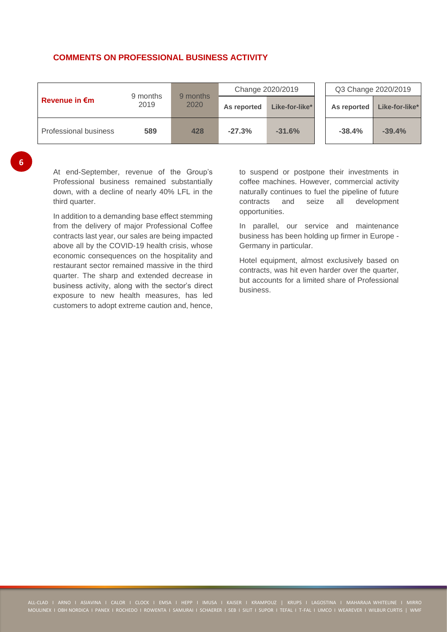### **COMMENTS ON PROFESSIONAL BUSINESS ACTIVITY**

|                         |                  |                  | Change 2020/2019 |                | Q3 Change 2020/2019 |                |  |
|-------------------------|------------------|------------------|------------------|----------------|---------------------|----------------|--|
| Revenue in $\epsilon$ m | 9 months<br>2019 | 9 months<br>2020 | As reported      | Like-for-like* | As reported         | Like-for-like* |  |
| Professional business   | 589              | 428              | $-27.3%$         | $-31.6%$       | $-38.4%$            | $-39.4%$       |  |

**6**

At end-September, revenue of the Group's Professional business remained substantially down, with a decline of nearly 40% LFL in the third quarter.

In addition to a demanding base effect stemming from the delivery of major Professional Coffee contracts last year, our sales are being impacted above all by the COVID-19 health crisis, whose economic consequences on the hospitality and restaurant sector remained massive in the third quarter. The sharp and extended decrease in business activity, along with the sector's direct exposure to new health measures, has led customers to adopt extreme caution and, hence,

to suspend or postpone their investments in coffee machines. However, commercial activity naturally continues to fuel the pipeline of future contracts and seize all development opportunities.

In parallel, our service and maintenance business has been holding up firmer in Europe - Germany in particular.

Hotel equipment, almost exclusively based on contracts, was hit even harder over the quarter, but accounts for a limited share of Professional business.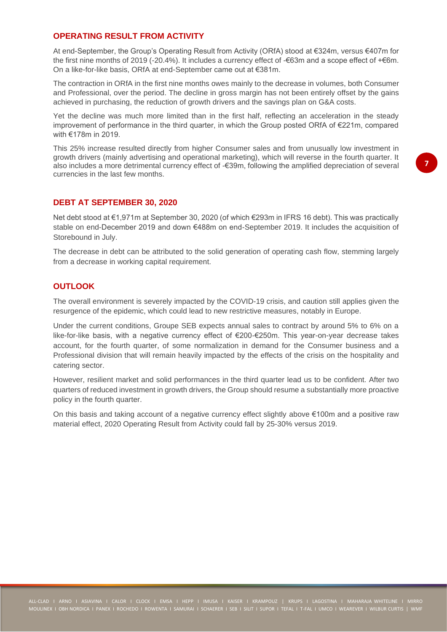### **OPERATING RESULT FROM ACTIVITY**

At end-September, the Group's Operating Result from Activity (ORfA) stood at €324m, versus €407m for the first nine months of 2019 (-20.4%). It includes a currency effect of -€63m and a scope effect of +€6m. On a like-for-like basis, ORfA at end-September came out at €381m.

The contraction in ORfA in the first nine months owes mainly to the decrease in volumes, both Consumer and Professional, over the period. The decline in gross margin has not been entirely offset by the gains achieved in purchasing, the reduction of growth drivers and the savings plan on G&A costs.

Yet the decline was much more limited than in the first half, reflecting an acceleration in the steady improvement of performance in the third quarter, in which the Group posted ORfA of €221m, compared with €178m in 2019.

This 25% increase resulted directly from higher Consumer sales and from unusually low investment in growth drivers (mainly advertising and operational marketing), which will reverse in the fourth quarter. It also includes a more detrimental currency effect of -€39m, following the amplified depreciation of several currencies in the last few months.

### **DEBT AT SEPTEMBER 30, 2020**

Net debt stood at €1,971m at September 30, 2020 (of which €293m in IFRS 16 debt). This was practically stable on end-December 2019 and down €488m on end-September 2019. It includes the acquisition of Storebound in July.

The decrease in debt can be attributed to the solid generation of operating cash flow, stemming largely from a decrease in working capital requirement.

### **OUTLOOK**

The overall environment is severely impacted by the COVID-19 crisis, and caution still applies given the resurgence of the epidemic, which could lead to new restrictive measures, notably in Europe.

Under the current conditions, Groupe SEB expects annual sales to contract by around 5% to 6% on a like-for-like basis, with a negative currency effect of €200-€250m. This year-on-year decrease takes account, for the fourth quarter, of some normalization in demand for the Consumer business and a Professional division that will remain heavily impacted by the effects of the crisis on the hospitality and catering sector.

However, resilient market and solid performances in the third quarter lead us to be confident. After two quarters of reduced investment in growth drivers, the Group should resume a substantially more proactive policy in the fourth quarter.

On this basis and taking account of a negative currency effect slightly above €100m and a positive raw material effect, 2020 Operating Result from Activity could fall by 25-30% versus 2019.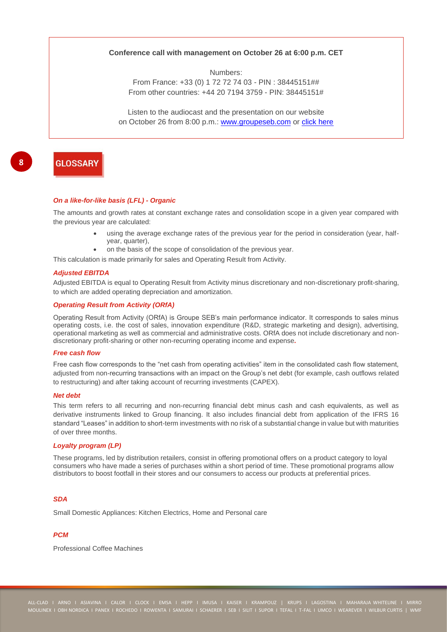#### **Conference call with management on October 26 at 6:00 p.m. CET**

Numbers:

From France: +33 (0) 1 72 72 74 03 - PIN : 38445151## From other countries: +44 20 7194 3759 - PIN: 38445151#

Listen to the audiocast and the presentation on our website on October 26 from 8:00 p.m.: [www.groupeseb.com](https://www.groupeseb.com/fr) or [click here](https://channel.royalcast.com/webcast/seb-en/20201026_1)

## **GLOSSARY**

#### *On a like-for-like basis (LFL) - Organic*

The amounts and growth rates at constant exchange rates and consolidation scope in a given year compared with the previous year are calculated:

- using the average exchange rates of the previous year for the period in consideration (year, halfyear, quarter),
- on the basis of the scope of consolidation of the previous year.

This calculation is made primarily for sales and Operating Result from Activity.

#### *Adjusted EBITDA*

Adjusted EBITDA is equal to Operating Result from Activity minus discretionary and non-discretionary profit-sharing, to which are added operating depreciation and amortization.

#### *Operating Result from Activity (ORfA)*

Operating Result from Activity (ORfA) is Groupe SEB's main performance indicator. It corresponds to sales minus operating costs, i.e. the cost of sales, innovation expenditure (R&D, strategic marketing and design), advertising, operational marketing as well as commercial and administrative costs. ORfA does not include discretionary and nondiscretionary profit-sharing or other non-recurring operating income and expense*.*

#### *Free cash flow*

Free cash flow corresponds to the "net cash from operating activities" item in the consolidated cash flow statement, adjusted from non-recurring transactions with an impact on the Group's net debt (for example, cash outflows related to restructuring) and after taking account of recurring investments (CAPEX).

#### *Net debt*

This term refers to all recurring and non-recurring financial debt minus cash and cash equivalents, as well as derivative instruments linked to Group financing. It also includes financial debt from application of the IFRS 16 standard "Leases" in addition to short-term investments with no risk of a substantial change in value but with maturities of over three months.

#### *Loyalty program (LP)*

These programs, led by distribution retailers, consist in offering promotional offers on a product category to loyal consumers who have made a series of purchases within a short period of time. These promotional programs allow distributors to boost footfall in their stores and our consumers to access our products at preferential prices.

#### *SDA*

Small Domestic Appliances: Kitchen Electrics, Home and Personal care

#### *PCM*

Professional Coffee Machines